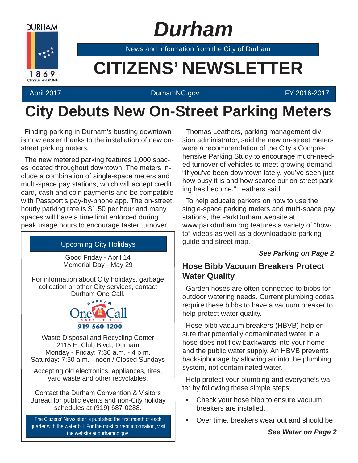

# *Durham*

News and Information from the City of Durham

# **Example 20 CITIZENS' NEWSLETTER**

#### April 2017 **DurhamNC.gov EXECUTE:** DurhamNC.gov

### **City Debuts New On-Street Parking Meters**

Finding parking in Durham's bustling downtown is now easier thanks to the installation of new onstreet parking meters.

The new metered parking features 1,000 spaces located throughout downtown. The meters include a combination of single-space meters and multi-space pay stations, which will accept credit card, cash and coin payments and be compatible with Passport's pay-by-phone app. The on-street hourly parking rate is \$1.50 per hour and many spaces will have a time limit enforced during peak usage hours to encourage faster turnover.

#### Upcoming City Holidays

Good Friday - April 14 Memorial Day - May 29

For information about City holidays, garbage collection or other City services, contact Durham One Call.



Waste Disposal and Recycling Center 2115 E. Club Blvd., Durham Monday - Friday: 7:30 a.m. - 4 p.m. Saturday: 7:30 a.m. - noon / Closed Sundays

Accepting old electronics, appliances, tires, yard waste and other recyclables.

Contact the Durham Convention & Visitors Bureau for public events and non-City holiday schedules at (919) 687-0288.

The Citizens' Newsletter is published the first month of each quarter with the water bill. For the most current information, visit the website at durhamnc.gov.

Thomas Leathers, parking management division administrator, said the new on-street meters were a recommendation of the City's Comprehensive Parking Study to encourage much-needed turnover of vehicles to meet growing demand. "If you've been downtown lately, you've seen just how busy it is and how scarce our on-street parking has become," Leathers said.

To help educate parkers on how to use the single-space parking meters and multi-space pay stations, the ParkDurham website at www.parkdurham.org features a variety of "howto" videos as well as a downloadable parking guide and street map.

#### *See Parking on Page 2*

#### **Hose Bibb Vacuum Breakers Protect Water Quality**

Garden hoses are often connected to bibbs for outdoor watering needs. Current plumbing codes require these bibbs to have a vacuum breaker to help protect water quality.

Hose bibb vacuum breakers (HBVB) help ensure that potentially contaminated water in a hose does not flow backwards into your home and the public water supply. An HBVB prevents backsiphonage by allowing air into the plumbing system, not contaminated water.

Help protect your plumbing and everyone's water by following these simple steps:

- Check your hose bibb to ensure vacuum breakers are installed.
- Over time, breakers wear out and should be

*See Water on Page 2*